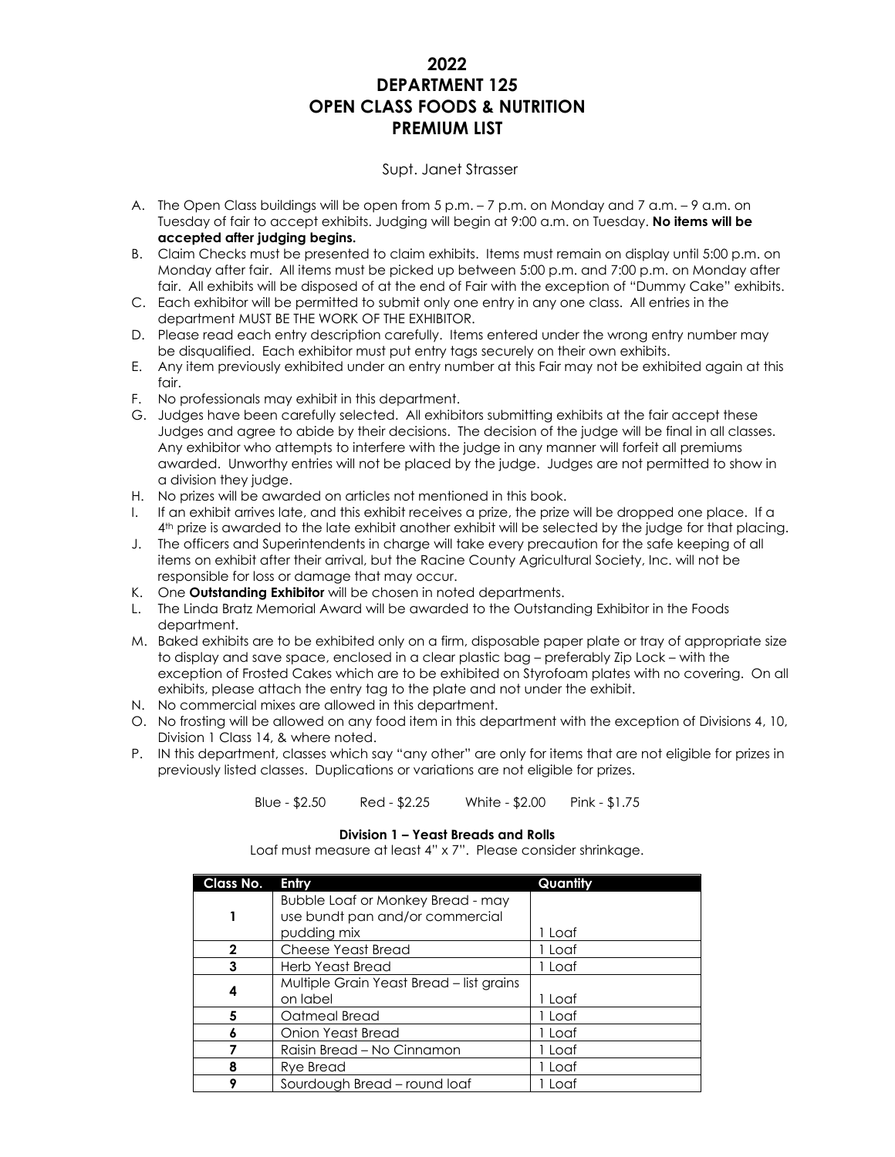### **2022 DEPARTMENT 125 OPEN CLASS FOODS & NUTRITION PREMIUM LIST**

### Supt. Janet Strasser

- A. The Open Class buildings will be open from 5 p.m. 7 p.m. on Monday and 7 a.m. 9 a.m. on Tuesday of fair to accept exhibits. Judging will begin at 9:00 a.m. on Tuesday. **No items will be accepted after judging begins.**
- B. Claim Checks must be presented to claim exhibits. Items must remain on display until 5:00 p.m. on Monday after fair. All items must be picked up between 5:00 p.m. and 7:00 p.m. on Monday after fair. All exhibits will be disposed of at the end of Fair with the exception of "Dummy Cake" exhibits.
- C. Each exhibitor will be permitted to submit only one entry in any one class. All entries in the department MUST BE THE WORK OF THE EXHIBITOR.
- D. Please read each entry description carefully. Items entered under the wrong entry number may be disqualified. Each exhibitor must put entry tags securely on their own exhibits.
- E. Any item previously exhibited under an entry number at this Fair may not be exhibited again at this  $f$ nir
- F. No professionals may exhibit in this department.
- G. Judges have been carefully selected. All exhibitors submitting exhibits at the fair accept these Judges and agree to abide by their decisions. The decision of the judge will be final in all classes. Any exhibitor who attempts to interfere with the judge in any manner will forfeit all premiums awarded. Unworthy entries will not be placed by the judge. Judges are not permitted to show in a division they judge.
- H. No prizes will be awarded on articles not mentioned in this book.
- I. If an exhibit arrives late, and this exhibit receives a prize, the prize will be dropped one place. If a 4 th prize is awarded to the late exhibit another exhibit will be selected by the judge for that placing.
- J. The officers and Superintendents in charge will take every precaution for the safe keeping of all items on exhibit after their arrival, but the Racine County Agricultural Society, Inc. will not be responsible for loss or damage that may occur.
- K. One **Outstanding Exhibitor** will be chosen in noted departments.
- L. The Linda Bratz Memorial Award will be awarded to the Outstanding Exhibitor in the Foods department.
- M. Baked exhibits are to be exhibited only on a firm, disposable paper plate or tray of appropriate size to display and save space, enclosed in a clear plastic bag – preferably Zip Lock – with the exception of Frosted Cakes which are to be exhibited on Styrofoam plates with no covering. On all exhibits, please attach the entry tag to the plate and not under the exhibit.
- N. No commercial mixes are allowed in this department.
- O. No frosting will be allowed on any food item in this department with the exception of Divisions 4, 10, Division 1 Class 14, & where noted.
- P. IN this department, classes which say "any other" are only for items that are not eligible for prizes in previously listed classes. Duplications or variations are not eligible for prizes.

Blue - \$2.50 Red - \$2.25 White - \$2.00 Pink - \$1.75

### **Division 1 – Yeast Breads and Rolls**

Loaf must measure at least 4" x 7". Please consider shrinkage.

| Class No.    | Entry                                    | Quantity |
|--------------|------------------------------------------|----------|
|              | Bubble Loaf or Monkey Bread - may        |          |
|              | use bundt pan and/or commercial          |          |
|              | pudding mix                              | 1 Loaf   |
| $\mathbf{2}$ | <b>Cheese Yeast Bread</b>                | 1 Loaf   |
| 3            | Herb Yeast Bread                         | 1 Loaf   |
| 4            | Multiple Grain Yeast Bread - list grains |          |
|              | on label                                 | 1 Loaf   |
| 5            | Oatmeal Bread                            | 1 Loaf   |
| 6            | Onion Yeast Bread                        | 1 Loaf   |
|              | Raisin Bread - No Cinnamon               | 1 Loaf   |
| 8            | <b>Rye Bread</b>                         | 1 Loaf   |
| ۰            | Sourdough Bread - round loaf             | 1 Loaf   |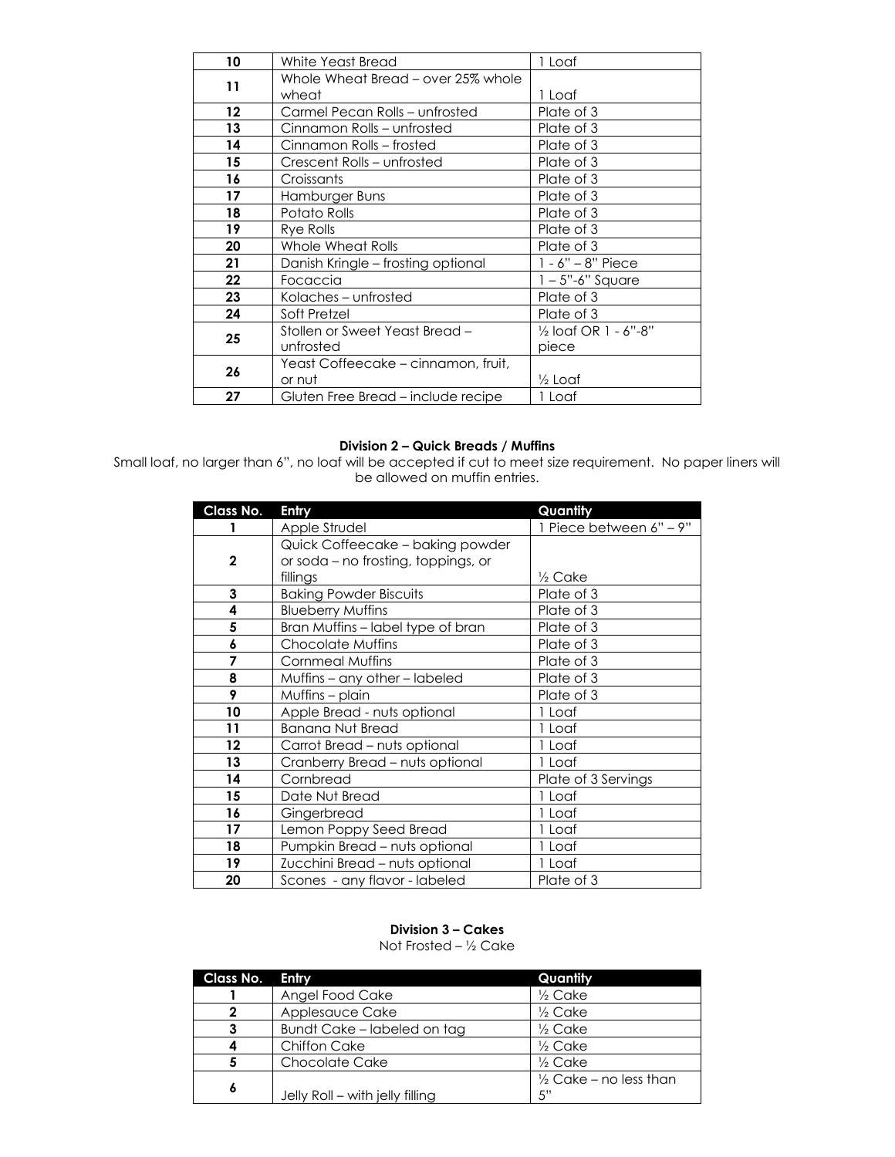| 10      | White Yeast Bread                   | 1 Loaf                |
|---------|-------------------------------------|-----------------------|
|         | Whole Wheat Bread – over 25% whole  |                       |
| 11      | wheat                               | 1 Loaf                |
| $12 \,$ | Carmel Pecan Rolls - unfrosted      | Plate of 3            |
| 13      | Cinnamon Rolls – unfrosted          | Plate of 3            |
| 14      | Cinnamon Rolls – frosted            | Plate of 3            |
| 15      | Crescent Rolls – unfrosted          | Plate of 3            |
| 16      | Croissants                          | Plate of 3            |
| 17      | Hamburger Buns                      | Plate of 3            |
| 18      | Potato Rolls                        | Plate of 3            |
| 19      | Rye Rolls                           | Plate of 3            |
| 20      | Whole Wheat Rolls                   | Plate of 3            |
| 21      | Danish Kringle - frosting optional  | 1 - 6" – 8" Piece     |
| 22      | Focaccia                            | $1 - 5$ "-6" Square   |
| 23      | Kolaches – unfrosted                | Plate of 3            |
| 24      | Soft Pretzel                        | Plate of 3            |
|         | Stollen or Sweet Yeast Bread -      | 1/2 loaf OR 1 - 6"-8" |
| 25      | unfrosted                           | piece                 |
| 26      | Yeast Coffeecake – cinnamon, fruit, |                       |
|         | or nut                              | ½ Loaf                |
| 27      | Gluten Free Bread – include recipe  | 1 Loaf                |

### **Division 2 – Quick Breads / Muffins**

Small loaf, no larger than 6", no loaf will be accepted if cut to meet size requirement. No paper liners will be allowed on muffin entries.

| Class No.    | Entry                               | Quantity                |
|--------------|-------------------------------------|-------------------------|
|              | Apple Strudel                       | 1 Piece between 6" - 9" |
|              | Quick Coffeecake - baking powder    |                         |
| $\mathbf{2}$ | or soda – no frosting, toppings, or |                         |
|              | fillings                            | $\frac{1}{2}$ Cake      |
| 3            | <b>Baking Powder Biscuits</b>       | Plate of 3              |
| 4            | <b>Blueberry Muffins</b>            | Plate of 3              |
| 5            | Bran Muffins - label type of bran   | Plate of 3              |
| 6            | Chocolate Muffins                   | Plate of 3              |
| 7            | <b>Cornmeal Muffins</b>             | Plate of 3              |
| 8            | Muffins – any other – labeled       | Plate of 3              |
| 9            | Muffins – plain                     | Plate of 3              |
| 10           | Apple Bread - nuts optional         | 1 Loaf                  |
| 11           | <b>Banana Nut Bread</b>             | 1 Loaf                  |
| 12           | Carrot Bread - nuts optional        | 1 Loaf                  |
| 13           | Cranberry Bread – nuts optional     | 1 Loaf                  |
| 14           | Cornbread                           | Plate of 3 Servings     |
| 15           | Date Nut Bread                      | 1 Loaf                  |
| 16           | Gingerbread                         | 1 Loaf                  |
| 17           | Lemon Poppy Seed Bread              | 1 Loaf                  |
| 18           | Pumpkin Bread - nuts optional       | 1 Loaf                  |
| 19           | Zucchini Bread - nuts optional      | 1 Loaf                  |
| 20           | Scones - any flavor - labeled       | Plate of 3              |

### **Division 3 – Cakes**

Not Frosted – ½ Cake

| Class No. | Entry                           | Quantity                          |
|-----------|---------------------------------|-----------------------------------|
|           | Angel Food Cake                 | $\frac{1}{2}$ Cake                |
| 2         | Applesauce Cake                 | $\frac{1}{2}$ Cake                |
| 3         | Bundt Cake – labeled on tag     | $\frac{1}{2}$ Cake                |
|           | <b>Chiffon Cake</b>             | $\frac{1}{2}$ Cake                |
|           | <b>Chocolate Cake</b>           | $\frac{1}{2}$ Cake                |
| 6         |                                 | $\frac{1}{2}$ Cake – no less than |
|           | Jelly Roll - with jelly filling | 5"                                |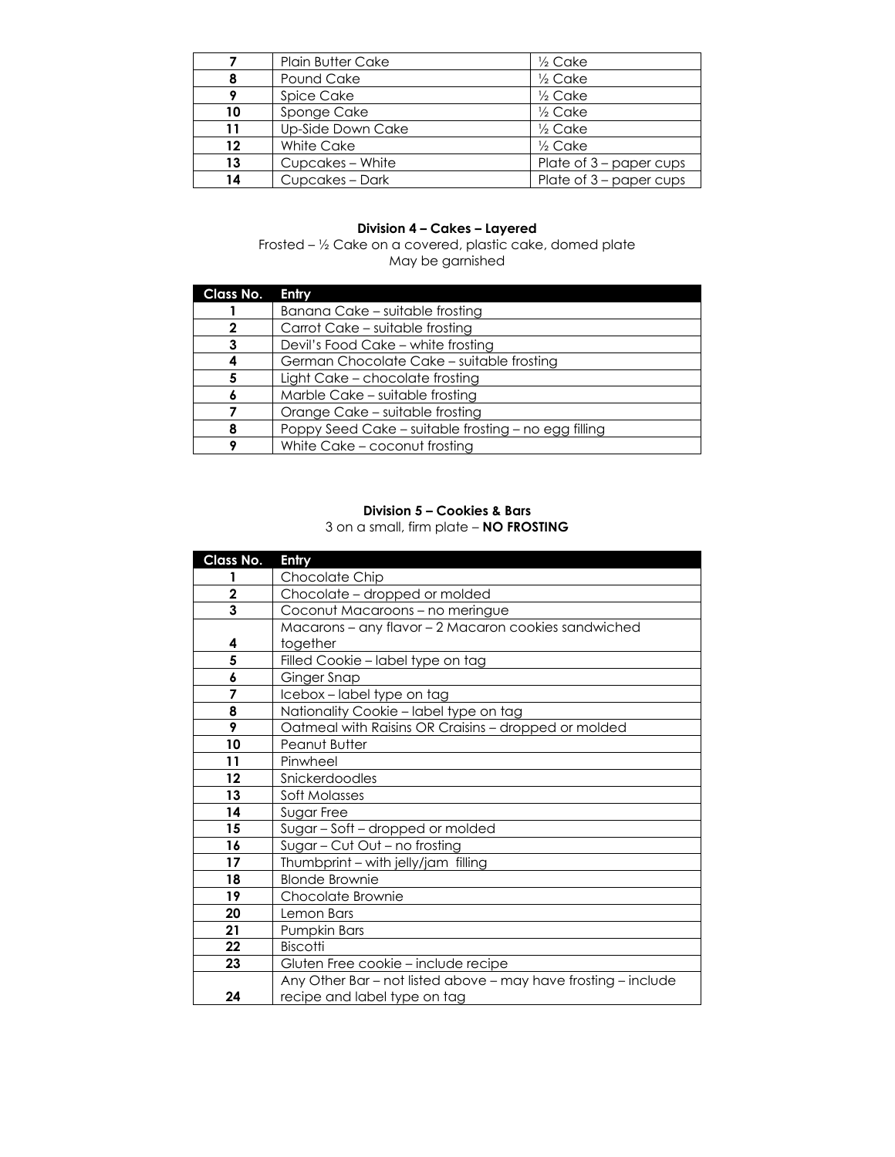|    | <b>Plain Butter Cake</b> | $\frac{1}{2}$ Cake        |
|----|--------------------------|---------------------------|
|    | Pound Cake               | $\frac{1}{2}$ Cake        |
|    | Spice Cake               | $\frac{1}{2}$ Cake        |
| 10 | Sponge Cake              | $\frac{1}{2}$ Cake        |
| 11 | Up-Side Down Cake        | $\frac{1}{2}$ Cake        |
| 12 | White Cake               | $\frac{1}{2}$ Cake        |
| 13 | Cupcakes - White         | Plate of 3 – paper cups   |
| 14 | Cupcakes - Dark          | Plate of $3$ – paper cups |

### **Division 4 – Cakes – Layered**

Frosted – ½ Cake on a covered, plastic cake, domed plate May be garnished

| Class No. | <b>Entry</b>                                         |
|-----------|------------------------------------------------------|
|           | Banana Cake – suitable frosting                      |
|           | Carrot Cake - suitable frosting                      |
|           | Devil's Food Cake - white frosting                   |
|           | German Chocolate Cake - suitable frosting            |
|           | Light Cake - chocolate frosting                      |
|           | Marble Cake – suitable frosting                      |
|           | Orange Cake - suitable frosting                      |
|           | Poppy Seed Cake – suitable frosting – no egg filling |
|           | White Cake - coconut frosting                        |

### **Division 5 – Cookies & Bars** 3 on a small, firm plate – **NO FROSTING**

| Class No.   | Entry                                                          |
|-------------|----------------------------------------------------------------|
|             | Chocolate Chip                                                 |
| $\mathbf 2$ | Chocolate - dropped or molded                                  |
| 3           | Coconut Macaroons - no meringue                                |
|             | Macarons - any flavor - 2 Macaron cookies sandwiched           |
| 4           | together                                                       |
| 5           | Filled Cookie - label type on tag                              |
| 6           | Ginger Snap                                                    |
| 7           | Icebox-label type on tag                                       |
| 8           | Nationality Cookie - label type on tag                         |
| 9           | Oatmeal with Raisins OR Craisins - dropped or molded           |
| 10          | Peanut Butter                                                  |
| 11          | Pinwheel                                                       |
| 12          | Snickerdoodles                                                 |
| 13          | Soft Molasses                                                  |
| 14          | Sugar Free                                                     |
| 15          | Sugar - Soft - dropped or molded                               |
| 16          | Sugar - Cut Out - no frosting                                  |
| 17          | Thumbprint - with jelly/jam filling                            |
| 18          | <b>Blonde Brownie</b>                                          |
| 19          | Chocolate Brownie                                              |
| 20          | Lemon Bars                                                     |
| 21          | Pumpkin Bars                                                   |
| 22          | <b>Biscotti</b>                                                |
| 23          | Gluten Free cookie - include recipe                            |
|             | Any Other Bar - not listed above - may have frosting - include |
| 24          | recipe and label type on tag                                   |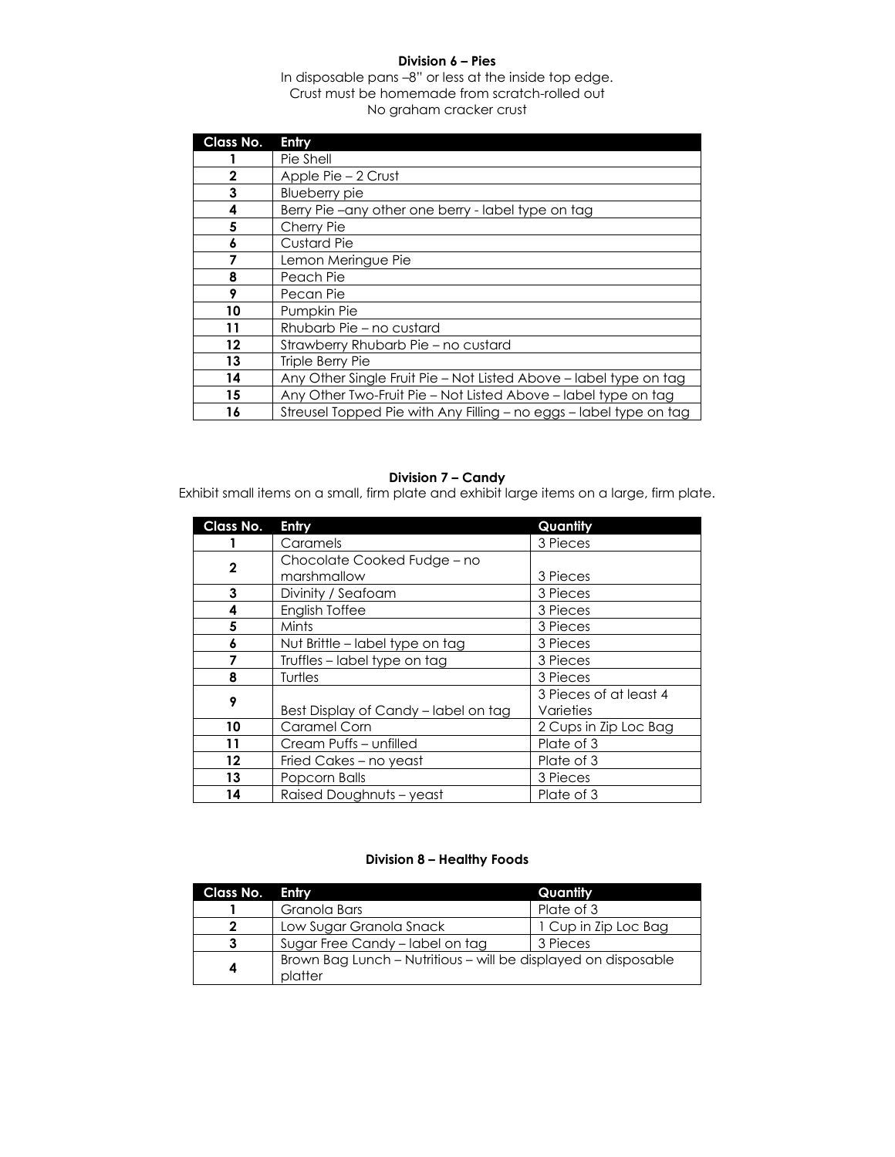### **Division 6 – Pies**

### In disposable pans –8" or less at the inside top edge. Crust must be homemade from scratch-rolled out No graham cracker crust

| Class No.    | Entry                                                              |
|--------------|--------------------------------------------------------------------|
|              | Pie Shell                                                          |
| $\mathbf{2}$ | Apple Pie – 2 Crust                                                |
| 3            | Blueberry pie                                                      |
| 4            | Berry Pie-any other one berry - label type on tag                  |
| 5            | Cherry Pie                                                         |
| 6            | <b>Custard Pie</b>                                                 |
| 7            | Lemon Meringue Pie                                                 |
| 8            | Peach Pie                                                          |
| 9            | Pecan Pie                                                          |
| 10           | Pumpkin Pie                                                        |
| 11           | Rhubarb Pie – no custard                                           |
| 12           | Strawberry Rhubarb Pie – no custard                                |
| 13           | Triple Berry Pie                                                   |
| 14           | Any Other Single Fruit Pie - Not Listed Above - label type on tag  |
| 15           | Any Other Two-Fruit Pie - Not Listed Above - label type on tag     |
| 16           | Streusel Topped Pie with Any Filling - no eggs - label type on tag |

### **Division 7 – Candy**

Exhibit small items on a small, firm plate and exhibit large items on a large, firm plate.

| Class No.   | Entry                                | Quantity               |
|-------------|--------------------------------------|------------------------|
|             | Caramels                             | 3 Pieces               |
| $\mathbf 2$ | Chocolate Cooked Fudge - no          |                        |
|             | marshmallow                          | 3 Pieces               |
| 3           | Divinity / Seafoam                   | 3 Pieces               |
| 4           | English Toffee                       | 3 Pieces               |
| 5           | Mints                                | 3 Pieces               |
| 6           | Nut Brittle – label type on tag      | 3 Pieces               |
|             | Truffles - label type on tag         | 3 Pieces               |
| 8           | Turtles                              | 3 Pieces               |
| 9           |                                      | 3 Pieces of at least 4 |
|             | Best Display of Candy - label on tag | Varieties              |
| 10          | Caramel Corn                         | 2 Cups in Zip Loc Bag  |
| 11          | Cream Puffs - unfilled               | Plate of 3             |
| 12          | Fried Cakes - no yeast               | Plate of 3             |
| 13          | Popcorn Balls                        | 3 Pieces               |
| 14          | Raised Doughnuts - yeast             | Plate of 3             |

### **Division 8 – Healthy Foods**

| Class No. Entry |                                                                           | Quantity             |
|-----------------|---------------------------------------------------------------------------|----------------------|
|                 | Granola Bars                                                              | Plate of 3           |
| 2               | Low Sugar Granola Snack                                                   | 1 Cup in Zip Loc Bag |
|                 | Sugar Free Candy – label on tag                                           | 3 Pieces             |
| 4               | Brown Bag Lunch – Nutritious – will be displayed on disposable<br>platter |                      |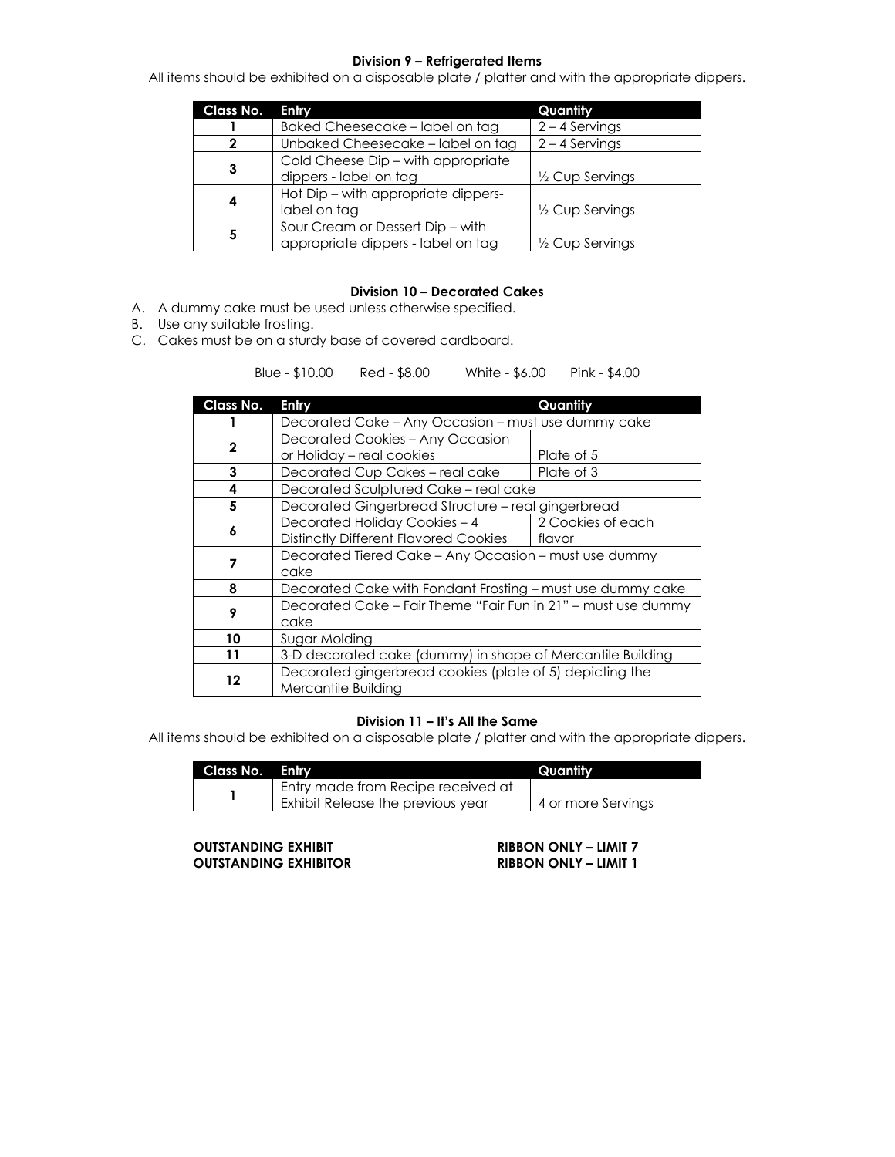### **Division 9 – Refrigerated Items**

All items should be exhibited on a disposable plate / platter and with the appropriate dippers.

| Class No. | Entry                               | Quantity                   |
|-----------|-------------------------------------|----------------------------|
|           | Baked Cheesecake - label on tag     | $2 - 4$ Servings           |
|           | Unbaked Cheesecake - label on tag   | $2 - 4$ Servings           |
|           | Cold Cheese Dip - with appropriate  |                            |
| 3         | dippers - label on tag              | $\frac{1}{2}$ Cup Servings |
|           | Hot Dip - with appropriate dippers- |                            |
| 4         | label on tag                        | 1/2 Cup Servings           |
|           | Sour Cream or Dessert Dip - with    |                            |
| 5         | appropriate dippers - label on tag  | 1/2 Cup Servings           |

### **Division 10 – Decorated Cakes**

- A. A dummy cake must be used unless otherwise specified.
- B. Use any suitable frosting.
- C. Cakes must be on a sturdy base of covered cardboard.

Blue - \$10.00 Red - \$8.00 White - \$6.00 Pink - \$4.00

| Class No.                                                          | Entry                                                      | Quantity          |
|--------------------------------------------------------------------|------------------------------------------------------------|-------------------|
|                                                                    | Decorated Cake - Any Occasion - must use dummy cake        |                   |
| 2                                                                  | Decorated Cookies - Any Occasion                           |                   |
|                                                                    | or Holiday - real cookies                                  | Plate of 5        |
| 3                                                                  | Decorated Cup Cakes - real cake                            | Plate of 3        |
| 4                                                                  | Decorated Sculptured Cake – real cake                      |                   |
| 5                                                                  | Decorated Gingerbread Structure – real gingerbread         |                   |
| 6                                                                  | Decorated Holiday Cookies - 4                              | 2 Cookies of each |
|                                                                    | <b>Distinctly Different Flavored Cookies</b>               | flavor            |
| 7                                                                  | Decorated Tiered Cake - Any Occasion - must use dummy      |                   |
|                                                                    | cake                                                       |                   |
| 8                                                                  | Decorated Cake with Fondant Frosting - must use dummy cake |                   |
| Decorated Cake - Fair Theme "Fair Fun in 21" - must use dummy<br>9 |                                                            |                   |
|                                                                    | cake                                                       |                   |
| 10                                                                 | Sugar Molding                                              |                   |
| 11                                                                 | 3-D decorated cake (dummy) in shape of Mercantile Building |                   |
| 12                                                                 | Decorated gingerbread cookies (plate of 5) depicting the   |                   |
|                                                                    | Mercantile Building                                        |                   |

### **Division 11 – It's All the Same**

All items should be exhibited on a disposable plate / platter and with the appropriate dippers.

| Class No. Entry |                                    | Quantity.          |
|-----------------|------------------------------------|--------------------|
|                 | Entry made from Recipe received at |                    |
|                 | Exhibit Release the previous year  | 4 or more Servings |

**OUTSTANDING EXHIBIT**<br> **CUTSTANDING EXHIBITOR**<br> **RIBBON ONLY – LIMIT 1**  $\overline{O}$  **LITSTANDING EXHIBITOR**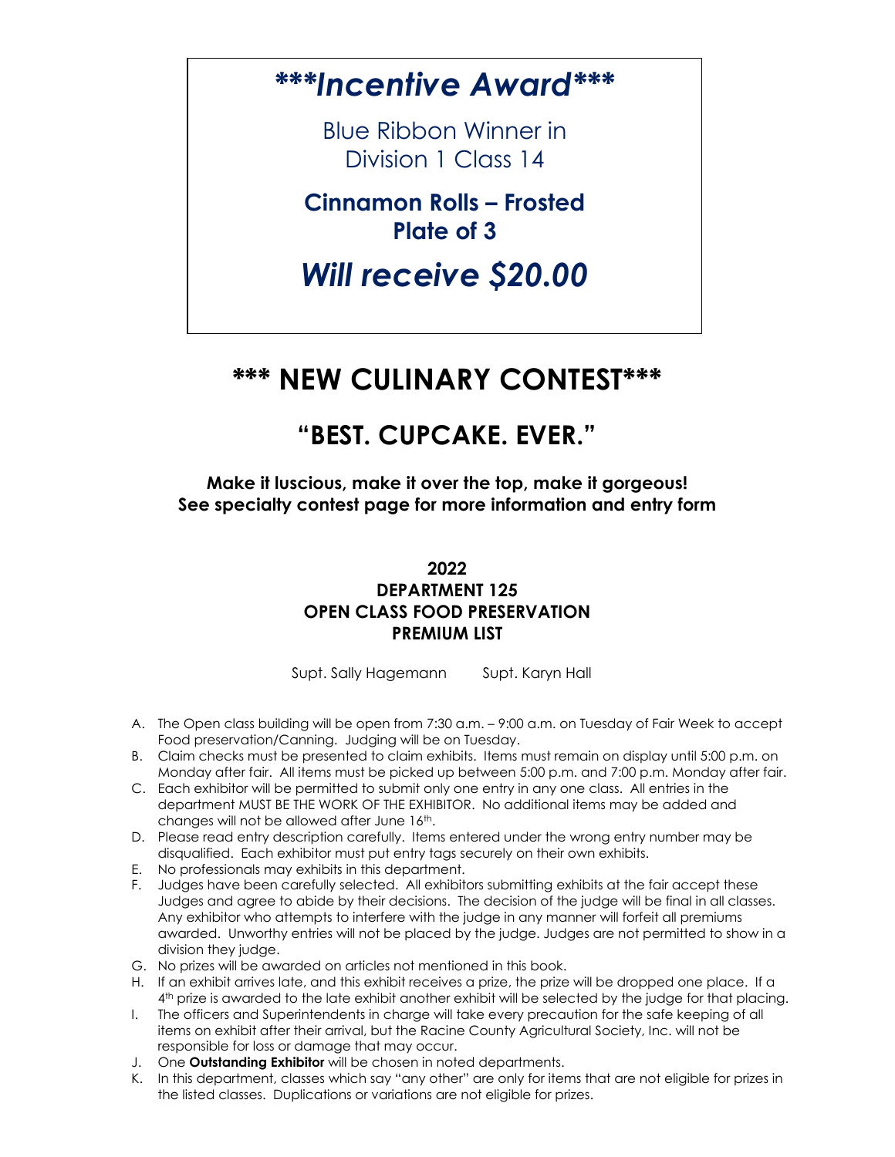*\*\*\*Incentive Award\*\*\**

Blue Ribbon Winner in Division 1 Class 14

**Cinnamon Rolls – Frosted Plate of 3**

*Will receive \$20.00*

### **\*\*\* NEW CULINARY CONTEST\*\*\***

## **"BEST. CUPCAKE. EVER."**

**Make it luscious, make it over the top, make it gorgeous! See specialty contest page for more information and entry form**

> **2022 DEPARTMENT 125 OPEN CLASS FOOD PRESERVATION PREMIUM LIST**

Supt. Sally Hagemann Supt. Karyn Hall

- A. The Open class building will be open from 7:30 a.m. 9:00 a.m. on Tuesday of Fair Week to accept Food preservation/Canning. Judging will be on Tuesday.
- B. Claim checks must be presented to claim exhibits. Items must remain on display until 5:00 p.m. on Monday after fair. All items must be picked up between 5:00 p.m. and 7:00 p.m. Monday after fair.
- C. Each exhibitor will be permitted to submit only one entry in any one class. All entries in the department MUST BE THE WORK OF THE EXHIBITOR. No additional items may be added and changes will not be allowed after June 16<sup>th</sup>.
- D. Please read entry description carefully. Items entered under the wrong entry number may be disqualified. Each exhibitor must put entry tags securely on their own exhibits.
- E. No professionals may exhibits in this department.
- F. Judges have been carefully selected. All exhibitors submitting exhibits at the fair accept these Judges and agree to abide by their decisions. The decision of the judge will be final in all classes. Any exhibitor who attempts to interfere with the judge in any manner will forfeit all premiums awarded. Unworthy entries will not be placed by the judge. Judges are not permitted to show in a division they judge.
- G. No prizes will be awarded on articles not mentioned in this book.
- H. If an exhibit arrives late, and this exhibit receives a prize, the prize will be dropped one place. If a 4 th prize is awarded to the late exhibit another exhibit will be selected by the judge for that placing.
- I. The officers and Superintendents in charge will take every precaution for the safe keeping of all items on exhibit after their arrival, but the Racine County Agricultural Society, Inc. will not be responsible for loss or damage that may occur.
- J. One **Outstanding Exhibitor** will be chosen in noted departments.
- K. In this department, classes which say "any other" are only for items that are not eligible for prizes in the listed classes. Duplications or variations are not eligible for prizes.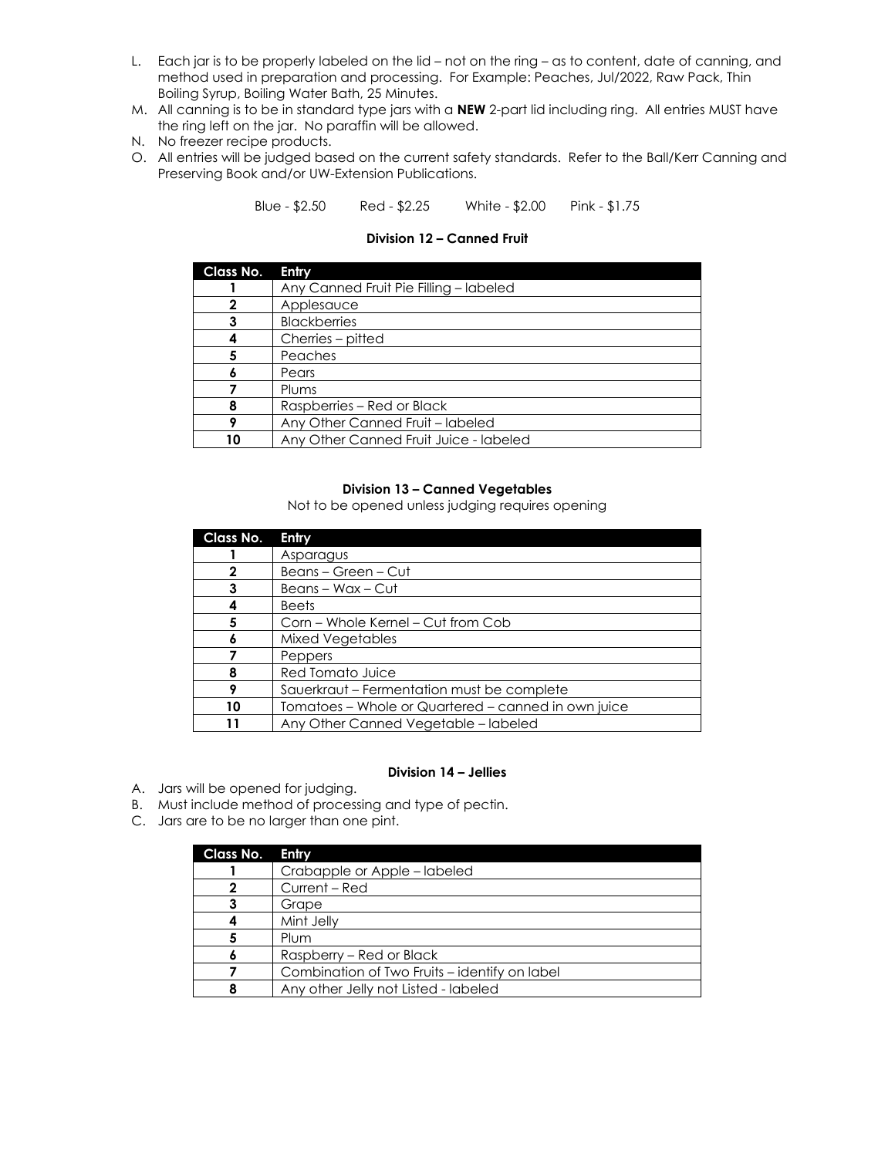- L. Each jar is to be properly labeled on the lid not on the ring as to content, date of canning, and method used in preparation and processing. For Example: Peaches, Jul/2022, Raw Pack, Thin Boiling Syrup, Boiling Water Bath, 25 Minutes.
- M. All canning is to be in standard type jars with a **NEW** 2-part lid including ring. All entries MUST have the ring left on the jar. No paraffin will be allowed.
- N. No freezer recipe products.
- O. All entries will be judged based on the current safety standards. Refer to the Ball/Kerr Canning and Preserving Book and/or UW-Extension Publications.

Blue - \$2.50 Red - \$2.25 White - \$2.00 Pink - \$1.75

| <b>Class No.</b> | Entry                                  |
|------------------|----------------------------------------|
|                  | Any Canned Fruit Pie Filling - labeled |
| 2                | Applesauce                             |
|                  | <b>Blackberries</b>                    |
|                  | Cherries - pitted                      |
|                  | Peaches                                |
|                  | Pears                                  |
|                  | Plums                                  |
|                  | Raspberries - Red or Black             |
|                  | Any Other Canned Fruit - labeled       |
| 10               | Any Other Canned Fruit Juice - labeled |

### **Division 12 – Canned Fruit**

### **Division 13 – Canned Vegetables**

Not to be opened unless judging requires opening

| <b>Class No.</b> | Entry                                               |
|------------------|-----------------------------------------------------|
|                  | Asparagus                                           |
| 2                | Beans - Green - Cut                                 |
| 3                | Beans - Wax - Cut                                   |
|                  | <b>Beets</b>                                        |
| 5                | Corn – Whole Kernel – Cut from Cob                  |
| Ô                | Mixed Vegetables                                    |
|                  | Peppers                                             |
| 8                | Red Tomato Juice                                    |
| Q                | Sauerkraut - Fermentation must be complete          |
| 10               | Tomatoes – Whole or Quartered – canned in own juice |
|                  | Any Other Canned Vegetable - labeled                |

### **Division 14 – Jellies**

- A. Jars will be opened for judging.
- B. Must include method of processing and type of pectin.
- C. Jars are to be no larger than one pint.

| Class No. | Entry                                         |
|-----------|-----------------------------------------------|
|           | Crabapple or Apple – labeled                  |
| 2         | Current – Red                                 |
| 3         | Grape                                         |
|           | Mint Jelly                                    |
|           | Plum                                          |
|           | Raspberry - Red or Black                      |
|           | Combination of Two Fruits – identify on label |
|           | Any other Jelly not Listed - labeled          |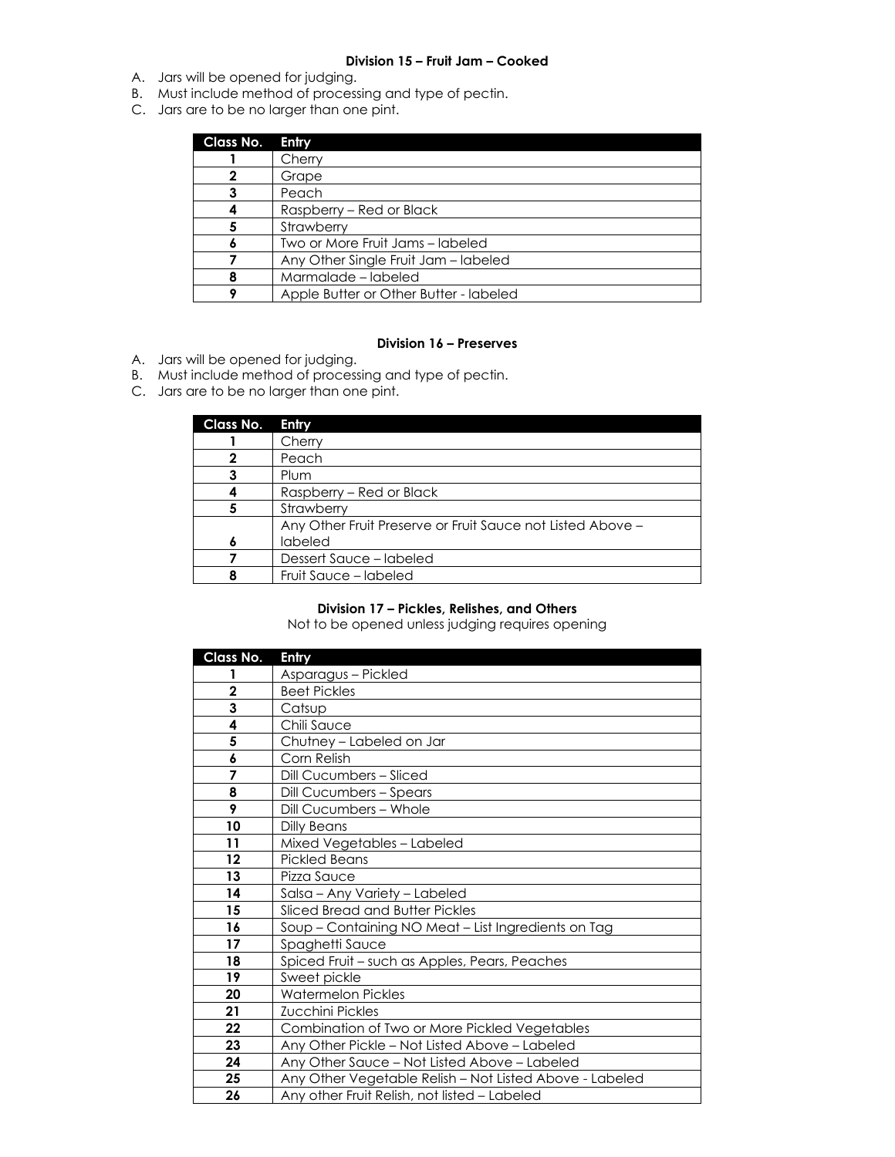### **Division 15 – Fruit Jam – Cooked**

- A. Jars will be opened for judging.
- B. Must include method of processing and type of pectin.
- C. Jars are to be no larger than one pint.

| <b>Class No.</b> | Entry                                  |  |
|------------------|----------------------------------------|--|
|                  | Cherry                                 |  |
|                  | Grape                                  |  |
|                  | Peach                                  |  |
|                  | Raspberry – Red or Black               |  |
|                  | Strawberry                             |  |
|                  | Two or More Fruit Jams - labeled       |  |
|                  | Any Other Single Fruit Jam - labeled   |  |
|                  | Marmalade - labeled                    |  |
|                  | Apple Butter or Other Butter - labeled |  |

### **Division 16 – Preserves**

- A. Jars will be opened for judging.
- B. Must include method of processing and type of pectin.
- C. Jars are to be no larger than one pint.

| Class No. | Entry                                                      |
|-----------|------------------------------------------------------------|
|           | Cherry                                                     |
|           | Peach                                                      |
|           | Plum                                                       |
|           | Raspberry - Red or Black                                   |
|           | Strawberry                                                 |
|           | Any Other Fruit Preserve or Fruit Sauce not Listed Above - |
|           | labeled                                                    |
|           | Dessert Sauce - labeled                                    |
|           | Fruit Sauce - labeled                                      |

### **Division 17 – Pickles, Relishes, and Others**

Not to be opened unless judging requires opening

| Class No.      | Entry                                                   |
|----------------|---------------------------------------------------------|
| 1              | Asparagus - Pickled                                     |
| $\mathbf 2$    | <b>Beet Pickles</b>                                     |
| 3              | Catsup                                                  |
| 4              | Chili Sauce                                             |
| 5              | Chutney – Labeled on Jar                                |
| 6              | Corn Relish                                             |
| 7              | Dill Cucumbers - Sliced                                 |
| 8              | <b>Dill Cucumbers - Spears</b>                          |
| $\overline{9}$ | Dill Cucumbers - Whole                                  |
| 10             | Dilly Beans                                             |
| 11             | Mixed Vegetables - Labeled                              |
| $12 \,$        | <b>Pickled Beans</b>                                    |
| 13             | Pizza Sauce                                             |
| 14             | Salsa – Any Variety – Labeled                           |
| 15             | Sliced Bread and Butter Pickles                         |
| 16             | Soup - Containing NO Meat - List Ingredients on Tag     |
| 17             | Spaghetti Sauce                                         |
| 18             | Spiced Fruit - such as Apples, Pears, Peaches           |
| 19             | Sweet pickle                                            |
| 20             | <b>Watermelon Pickles</b>                               |
| 21             | Zucchini Pickles                                        |
| 22             | Combination of Two or More Pickled Vegetables           |
| 23             | Any Other Pickle - Not Listed Above - Labeled           |
| 24             | Any Other Sauce - Not Listed Above - Labeled            |
| 25             | Any Other Vegetable Relish - Not Listed Above - Labeled |
| 26             | Any other Fruit Relish, not listed - Labeled            |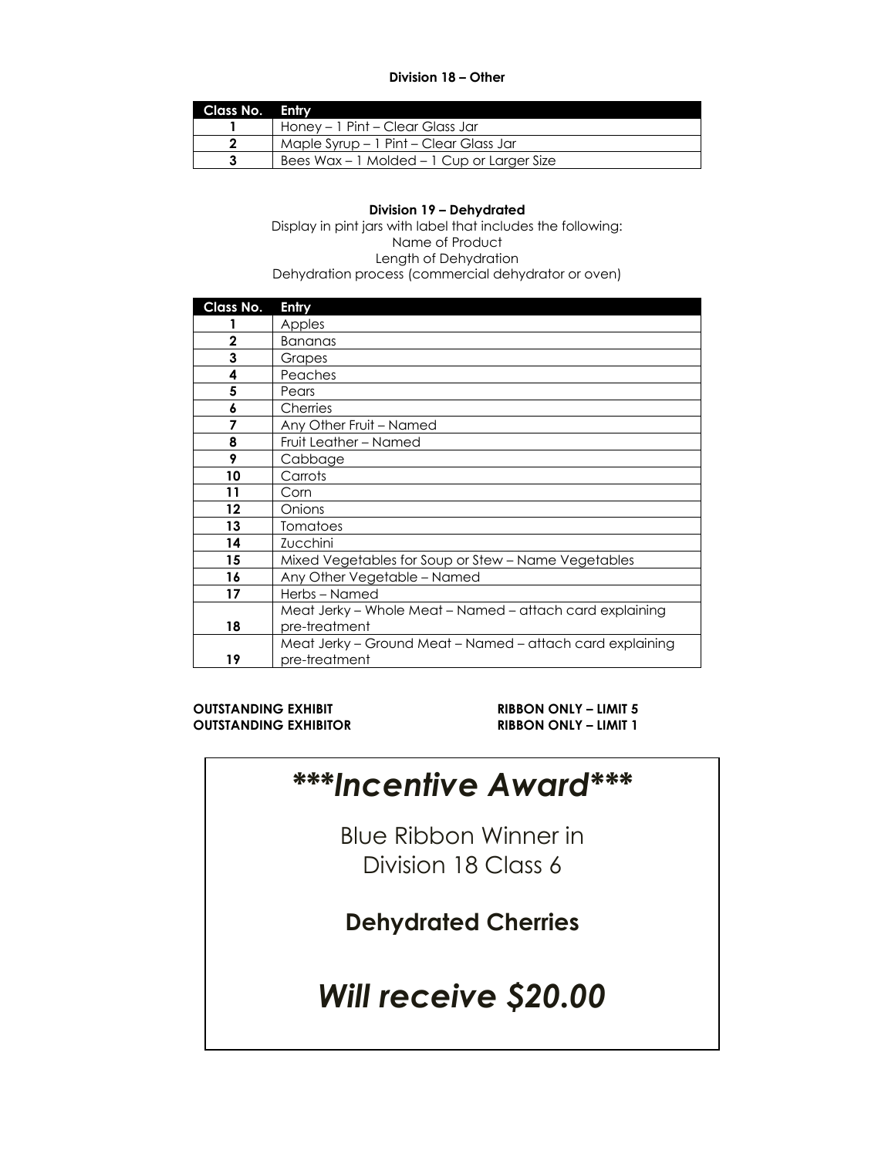### **Division 18 – Other**

| Class No. Entry |                                            |
|-----------------|--------------------------------------------|
|                 | Honey – 1 Pint – Clear Glass Jar           |
|                 | Maple Syrup - 1 Pint - Clear Glass Jar     |
|                 | Bees Wax – 1 Molded – 1 Cup or Larger Size |

### **Division 19 – Dehydrated**

Display in pint jars with label that includes the following: Name of Product Length of Dehydration Dehydration process (commercial dehydrator or oven)

| Class No.    | Entry                                                     |
|--------------|-----------------------------------------------------------|
|              | Apples                                                    |
| $\mathbf{2}$ | <b>Bananas</b>                                            |
| 3            | Grapes                                                    |
| 4            | Peaches                                                   |
| 5            | Pears                                                     |
| 6            | Cherries                                                  |
| 7            | Any Other Fruit - Named                                   |
| 8            | Fruit Leather - Named                                     |
| 9            | Cabbage                                                   |
| 10           | Carrots                                                   |
| 11           | Corn                                                      |
| $12 \,$      | Onions                                                    |
| 13           | <b>Tomatoes</b>                                           |
| 14           | Zucchini                                                  |
| 15           | Mixed Vegetables for Soup or Stew - Name Vegetables       |
| 16           | Any Other Vegetable - Named                               |
| 17           | Herbs-Named                                               |
|              | Meat Jerky – Whole Meat – Named – attach card explaining  |
| 18           | pre-treatment                                             |
|              | Meat Jerky – Ground Meat – Named – attach card explaining |
| 19           | pre-treatment                                             |

### **OUTSTANDING EXHIBIT RIBBON ONLY – LIMIT 5 OUTSTANDING EXHIBITOR RIBBON ONLY – LIMIT 1**

## *\*\*\*Incentive Award\*\*\**

Blue Ribbon Winner in Division 18 Class 6

**Dehydrated Cherries**

# *Will receive \$20.00*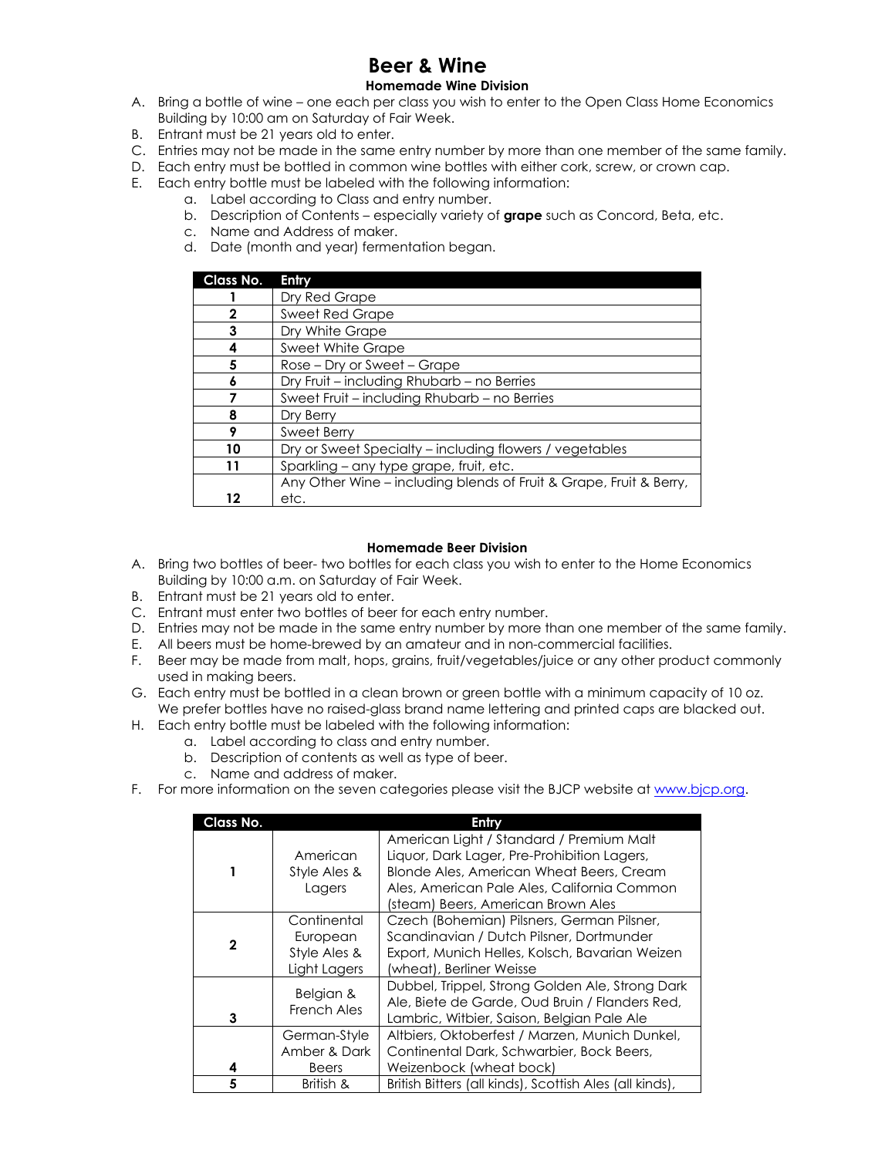# **Beer & Wine**

- **Homemade Wine Division**
- A. Bring a bottle of wine one each per class you wish to enter to the Open Class Home Economics Building by 10:00 am on Saturday of Fair Week.
- B. Entrant must be 21 years old to enter.
- C. Entries may not be made in the same entry number by more than one member of the same family.
- D. Each entry must be bottled in common wine bottles with either cork, screw, or crown cap.
- E. Each entry bottle must be labeled with the following information:
	- a. Label according to Class and entry number.
	- b. Description of Contents especially variety of **grape** such as Concord, Beta, etc.
	- c. Name and Address of maker.
	- d. Date (month and year) fermentation began.

| Class No. | Entry                                                              |  |  |
|-----------|--------------------------------------------------------------------|--|--|
|           | Dry Red Grape                                                      |  |  |
| 2         | Sweet Red Grape                                                    |  |  |
| 3         | Dry White Grape                                                    |  |  |
| 4         | <b>Sweet White Grape</b>                                           |  |  |
| 5         | Rose – Dry or Sweet – Grape                                        |  |  |
| 6         | Dry Fruit - including Rhubarb - no Berries                         |  |  |
|           | Sweet Fruit - including Rhubarb - no Berries                       |  |  |
| 8         | Dry Berry                                                          |  |  |
| 9         | <b>Sweet Berry</b>                                                 |  |  |
| 10        | Dry or Sweet Specialty - including flowers / vegetables            |  |  |
| 11        | Sparkling - any type grape, fruit, etc.                            |  |  |
|           | Any Other Wine – including blends of Fruit & Grape, Fruit & Berry, |  |  |
| 12        | etc.                                                               |  |  |

### **Homemade Beer Division**

- A. Bring two bottles of beer- two bottles for each class you wish to enter to the Home Economics Building by 10:00 a.m. on Saturday of Fair Week.
- B. Entrant must be 21 years old to enter.
- C. Entrant must enter two bottles of beer for each entry number.
- D. Entries may not be made in the same entry number by more than one member of the same family.
- E. All beers must be home-brewed by an amateur and in non-commercial facilities.
- F. Beer may be made from malt, hops, grains, fruit/vegetables/juice or any other product commonly used in making beers.
- G. Each entry must be bottled in a clean brown or green bottle with a minimum capacity of 10 oz. We prefer bottles have no raised-glass brand name lettering and printed caps are blacked out.
- H. Each entry bottle must be labeled with the following information:
	- a. Label according to class and entry number.
	- b. Description of contents as well as type of beer.
	- c. Name and address of maker.
- F. For more information on the seven categories please visit the BJCP website a[t www.bjcp.org.](http://www.bjcp.org/)

| Class No.    |                                                         | Entry                                                                                                                                                                                                                    |
|--------------|---------------------------------------------------------|--------------------------------------------------------------------------------------------------------------------------------------------------------------------------------------------------------------------------|
|              | American<br>Style Ales &<br>Lagers                      | American Light / Standard / Premium Malt<br>Liquor, Dark Lager, Pre-Prohibition Lagers,<br>Blonde Ales, American Wheat Beers, Cream<br>Ales, American Pale Ales, California Common<br>(steam) Beers, American Brown Ales |
| $\mathbf{2}$ | Continental<br>European<br>Style Ales &<br>Light Lagers | Czech (Bohemian) Pilsners, German Pilsner,<br>Scandinavian / Dutch Pilsner, Dortmunder<br>Export, Munich Helles, Kolsch, Bavarian Weizen<br>(wheat), Berliner Weisse                                                     |
| 3            | Belgian &<br>French Ales                                | Dubbel, Trippel, Strong Golden Ale, Strong Dark<br>Ale, Biete de Garde, Oud Bruin / Flanders Red,<br>Lambric, Witbier, Saison, Belgian Pale Ale                                                                          |
| 4            | German-Style<br>Amber & Dark<br>Beers                   | Altbiers, Oktoberfest / Marzen, Munich Dunkel,<br>Continental Dark, Schwarbier, Bock Beers,<br>Weizenbock (wheat bock)                                                                                                   |
| 5            | British &                                               | British Bitters (all kinds), Scottish Ales (all kinds),                                                                                                                                                                  |